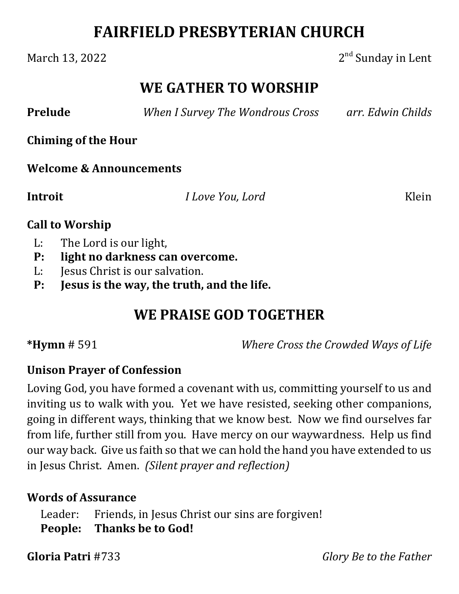# **FAIRFIELD PRESBYTERIAN CHURCH**

#### March 13, 2022  $2<sup>nd</sup>$  Sunday in Lent

## **WE GATHER TO WORSHIP**

**Prelude**  *When I Survey The Wondrous Cross arr. Edwin Childs*

**Chiming of the Hour**

**Welcome & Announcements**

**Introit** *I Love You, Lord* Klein

#### **Call to Worship**

- L: The Lord is our light,
- **P: light no darkness can overcome.**
- L: Jesus Christ is our salvation.
- **P: Jesus is the way, the truth, and the life.**

# **WE PRAISE GOD TOGETHER**

**\*Hymn** # 591 *Where Cross the Crowded Ways of Life*

#### **Unison Prayer of Confession**

Loving God, you have formed a covenant with us, committing yourself to us and inviting us to walk with you. Yet we have resisted, seeking other companions, going in different ways, thinking that we know best. Now we find ourselves far from life, further still from you. Have mercy on our waywardness. Help us find our way back. Give us faith so that we can hold the hand you have extended to us in Jesus Christ. Amen. *(Silent prayer and reflection)*

#### **Words of Assurance**

Leader: Friends, in Jesus Christ our sins are forgiven! **People: Thanks be to God!**

**Gloria Patri** #733 *Glory Be to the Father*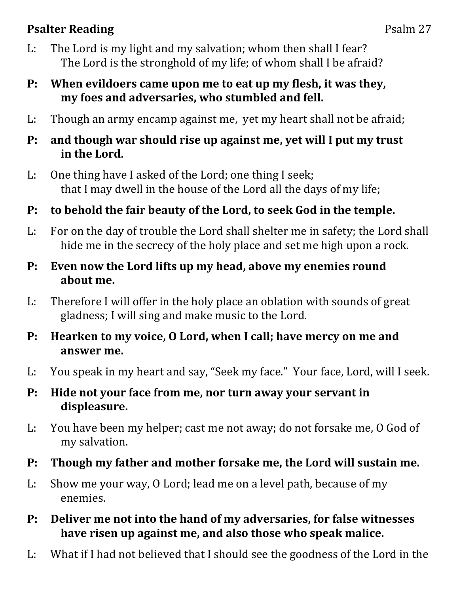### **Psalter Reading** Psalm 27

- L: The Lord is my light and my salvation; whom then shall I fear? The Lord is the stronghold of my life; of whom shall I be afraid?
- **P: When evildoers came upon me to eat up my flesh, it was they, my foes and adversaries, who stumbled and fell.**
- L: Though an army encamp against me, yet my heart shall not be afraid;
- **P: and though war should rise up against me, yet will I put my trust in the Lord.**
- L: One thing have I asked of the Lord; one thing I seek; that I may dwell in the house of the Lord all the days of my life;
- **P: to behold the fair beauty of the Lord, to seek God in the temple.**
- L: For on the day of trouble the Lord shall shelter me in safety; the Lord shall hide me in the secrecy of the holy place and set me high upon a rock.
- **P: Even now the Lord lifts up my head, above my enemies round about me.**
- L: Therefore I will offer in the holy place an oblation with sounds of great gladness; I will sing and make music to the Lord.
- **P: Hearken to my voice, O Lord, when I call; have mercy on me and answer me.**
- L: You speak in my heart and say, "Seek my face." Your face, Lord, will I seek.
- **P: Hide not your face from me, nor turn away your servant in displeasure.**
- L: You have been my helper; cast me not away; do not forsake me, O God of my salvation.
- **P: Though my father and mother forsake me, the Lord will sustain me.**
- L: Show me your way, O Lord; lead me on a level path, because of my enemies.
- **P: Deliver me not into the hand of my adversaries, for false witnesses have risen up against me, and also those who speak malice.**
- L: What if I had not believed that I should see the goodness of the Lord in the